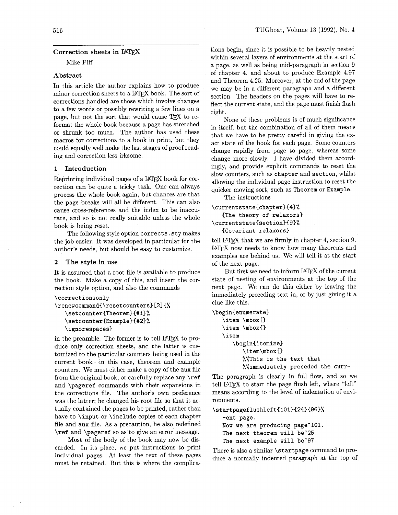# Correction sheets in IATEX

Mike Piff

## Abstract

In this article the author explains how to produce minor correction sheets to a IATEX book. The sort of corrections handled are those which involve changes to a few words or possibly rewriting a few lines on a corrections handled are those which involve changes<br>to a few words or possibly rewriting a few lines on a<br>page, but not the sort that would cause TEX to reformat the whole book because a page has stretched or shrunk too much. The author has used these macros for corrections to a book in print, but they could equally well make the last stages of proof reading and correction less irksome.

# 1 Introduction

Reprinting individual pages of a IATFX book for correction can be quite a tricky task. One can always process the whole book again, but chances are that the page breaks will all be different. This can also cause cross-references and the index to be inaccurate, and so is not really suitable unless the whole book is being reset.

The following style option **corrects. sty** makes the job easier. It was developed in particular for the author's needs, but should be easy to customize.

## 2 The style in use

It is assumed that a root file is available to produce the book. Make a copy of this, and insert the correction style option, and also the commands

```
\correctionsonly
```

```
\renewcommand{\resetcounters}[2]{%
   \setcounter{Theorem}{#1}%
   \setcounter{Example}{#2}%
   \ignorespaces)
```
in the preamble. The former is to tell IATFX to produce only correction sheets, and the latter is customized to the particular counters being used in the current book-in this case, theorem and example counters. We must either make a copy of the **aux** file from the original book, or carefully replace any **\ref**  and **\pageref** commands with their expansions in the corrections file. The author's own preference was the latter; he changed his root file so that it actually contained the pages to be printed, rather than have to **\input** or **\include** copies of each chapter file and **aux** file. As a precaution, he also redefined **\ref** and **\pageref** so as to give an error message.

Most of the body of the book may now be discarded. In its place, we put instructions to print individual pages. At least the text of these pages must be retained. But this is where the complica-

tions begin, since it is possible to be heavily nested within several layers of environments at the start of a page, as well as being mid-paragraph in section 9 of chapter 4, and about to produce Example 4.97 and Theorem 4.25. Moreover, at the end of the page we may be in a different paragraph and a different section. The headers on the pages will have to reflect the current state, and the page must finish flush right.

None of these problems is of much significance in itself, but the combination of all of them means that we have to be pretty careful in giving the exact state of the book for each page. Some counters change rapidly from page to page, whereas some change more slowly. I have divided them accordingly, and provide explicit commands to reset the slow counters, such as **chapter** and **section,** whilst allowing the individual page instruction to reset the quicker moving sort, such as **Theorem** or **Example.** 

The instructions

 $\text{currentstate{chaper}{4}}$ **(The theory of relaxorsl**   $\text{currentstate}$  faction}{9}% **(Covariant relaxorsl**  tell I4T<sub>E</sub>X that we are firmly in chapter 4, section 9.<br>tell I4T<sub>E</sub>X that we are firmly in chapter 4, section 9.

IF THE NOVEL THE TELENOUS FOR THE SECTION OF THE SECTION OF THE SECTION OF THE SECTION AND THE SECTION OF THE SECTION OF THE SECTION OF THE SECTION OF THE SECTION OF THE SECTION OF THE SECTION OF THE SECTION OF THE SECTION examples are behind us. We will tell it at the start of the next page.

But first we need to inform IATFX of the current state of nesting of environments at the top of the next page. We can do this either by leaving the immediately preceding text in, or by just giving it a clue like this.

```
\begin(enumerate) 
  \item \mbox() 
   \item \mbox() 
   \item 
      \beginCitemizel 
         \item\mbox{}
         %%This is the text that 
         %%immediately preceded the curr-
```
The paragraph is clearly in full flow, and so we The paragraph is clearly in full flow, and so we tell IATEX to start the page flush left, where "left" means according to the level of indentation of environments.

```
\startpageflushleft{101}{24}{96}%
```

```
-ent page. 
Now we are producing page-101. 
The next theorem will be"25. 
The next example will be"97.
```
There is also a similar **\startpage** command to produce a normally indented paragraph at the top of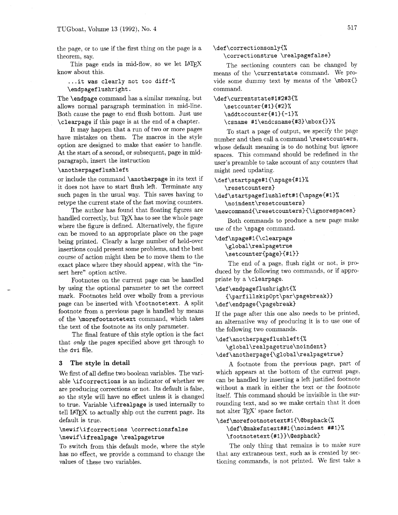the page, or to use if the first thing on the page is a theorem, say.

This page ends in mid-flow, so we let IATFX know about this.

. **..it was clearly not too diff-% \endpagef lushright.** 

The **\endpage** command has a similar meaning, but allows normal paragraph termination in mid-line. Both cause the page to end flush bottom. Just use **\clearpage** if this page is at the end of a chapter.

It may happen that a run of two or more pages have mistakes on them. The macros in the style option are designed to make that easier to handle. At the start of a second, or subsequent, page in midparagraph, insert the instruction

## **\anotherpageflushleft**

or include the command **\anotherpage** in its text if it does not have to start flush left. Terminate any such pages in the usual way. This saves having to

retype the current state of the fast moving counters.<br>The author has found that floating figures are<br>nandled correctly, but TEX has to see the whole page<br>where the figure is defined. Alternatively, the figure The author has found that floating figures are where the figure is defined. Alternatively, the figure can be moved to an appropriate place on the page being printed. Clearly a large number of held-over insertions could present some problems, and the best course of action might then be to move them to the exact place where they should appear, with the "insert here" option active.

Footnotes on the current page can be handled by using the optional parameter to set the correct mark. Footnotes held over wholly from a previous page can be inserted with **\f ootnotetext.** A split footnote from a previous page is handled by means of the **\moref ootnotetext** command, which takes the text of the footnote as its only parameter.

The final feature of this style option is the fact that only the pages specified above get through to the **dvi** file.

## **3 The style in detail**

We first of all define two boolean variables. The variable **\if correct ions** is an indicator of whether we are producing corrections or not. Its default is false, so the style will have no effect unless it is changed to true. Variable **\ifrealpage** is used internally to tell IATFX to actually ship out the current page. Its default is true.

# \newif\ifcorrections \correctionsfalse \newif\ifrealpage \realpagetrue

To switch from this default mode, where the style has no effect, we provide a command to change the values of these two variables.

**\def\correctionsonly{%** 

# **\correctionstrue \realpagefalse>**

The sectioning counters can be changed by means of the **\current st ate** command. We provide some dummy text by means of the **\mbox{}** command.

```
\def\currentstate#1#2#3{% 
   \setcounter{#l){#2)% 
   \addtocounter{#l>{-13% 
   \csname #1\endcsname{#3}\mbox{}}%
```
To start a page of output, we specify the page number and then call a command **\reset counters,**  whose default meaning is to do nothing but ignore spaces. This command should be redefined in the user's preamble to take account of any counters that might need updating.

\def\startpage#1{\npage{#1}%

**\resetcounters)** 

```
\def \startpagef lushleft#l{\npagei#l)% 
   \noindent\resetcounters)
```
**\newcommand{\resetcounters)(\ignorespaces~** 

Both commands to produce a new page make use of the **\npage** command.

\def\npage#1{\clearpage **\global\realpagetrue \setcounter{page){#i>}** 

The end of a page, flush right or not, is pro-

duced by the following two commands, or if appropriate by a **\clearpage.** 

```
\def\endpageflushright{%
```
**{\parf illskipOpt\par\pagebreak)) \def \endpage{\pagebreak)** 

If the page after this one also needs to be printed, an alternative way of producing it is to use one of the following two commands.

#### **\def\anotherpageflushleft(%**

**\global\realpagetrue\noindent> \def\anotherpage{\global\realpagetrue>** 

A footnote from the previous page. part of which appears at the bottom of the current page. can be handled by inserting a left justified footnote without a mark in either the text or the footnote itself. This command should be invisible in the surrounding text, and so we make certain that it does not alter TEX' space factor.

# **\def\morefootnotetext#l~\@bsphack~% \def\@makefntext##l{\noindent ##I)% \f ootnotetext{#l)>\@esphack~**

The only thing that remains is to make sure that any extraneous text, such as is created by sectioning commands, is not printed. We first take a